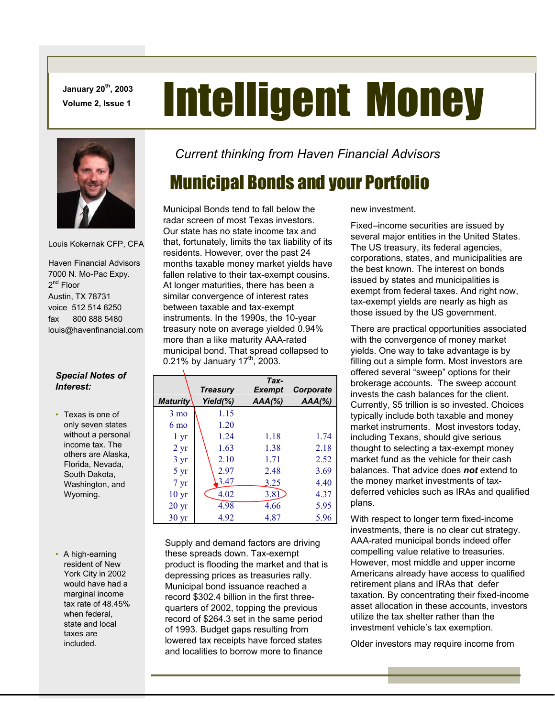**January 20th, 2003** 

# **January 20<sup>th</sup>, 2003 Intelligent Money**



Louis Kokernak CFP, CFA

 Haven Financial Advisors 7000 N. Mo-Pac Expy. 2<sup>nd</sup> Floor Austin, TX 78731 voice 512 514 6250 fax 800 888 5480 louis@havenfinancial.com

#### *Special Notes of Interest:*

- Texas is one of only seven states without a personal income tax. The others are Alaska, Florida, Nevada, South Dakota, Washington, and Wyoming.
- A high-earning resident of New York City in 2002 would have had a marginal income tax rate of 48.45% when federal, state and local taxes are included.

#### *Current thinking from Haven Financial Advisors*

## Municipal Bonds and your Portfolio

Municipal Bonds tend to fall below the radar screen of most Texas investors. Our state has no state income tax and that, fortunately, limits the tax liability of its residents. However, over the past 24 months taxable money market yields have fallen relative to their tax-exempt cousins. At longer maturities, there has been a similar convergence of interest rates between taxable and tax-exempt instruments. In the 1990s, the 10-year treasury note on average yielded 0.94% more than a like maturity AAA-rated municipal bond. That spread collapsed to 0.21% by January  $17<sup>th</sup>$ , 2003.

|                  | <b>Treasury</b> | Tax-<br><b>Exempt</b> | Corporate |
|------------------|-----------------|-----------------------|-----------|
| <b>Maturity</b>  | Yield(%)        | $AAA$ (%)             | $AAA$ (%) |
| $3 \text{ mo}$   | 1.15            |                       |           |
| $6 \text{ mo}$   | 1.20            |                       |           |
| 1 <sub>yr</sub>  | 1.24            | 1.18                  | 1.74      |
| $2 \text{ yr}$   | 1.63            | 1.38                  | 2.18      |
| $3 \text{ yr}$   | 2.10            | 1.71                  | 2.52      |
| $5 \text{ yr}$   | 2.97            | 2.48                  | 3.69      |
| $7 \mathrm{yr}$  | 3.47            | 3.25                  | 4.40      |
| 10 <sub>yr</sub> | 4.02            | 3.81                  | 4.37      |
| 20 <sub>yr</sub> | 4.98            | 4.66                  | 5.95      |
| 30 <sub>yr</sub> | 4.92            | 4.87                  | 5.96      |

Supply and demand factors are driving these spreads down. Tax-exempt product is flooding the market and that is depressing prices as treasuries rally. Municipal bond issuance reached a record \$302.4 billion in the first threequarters of 2002, topping the previous record of \$264.3 set in the same period of 1993. Budget gaps resulting from lowered tax receipts have forced states and localities to borrow more to finance

new investment.

Fixed–income securities are issued by several major entities in the United States. The US treasury, its federal agencies, corporations, states, and municipalities are the best known. The interest on bonds issued by states and municipalities is exempt from federal taxes. And right now, tax-exempt yields are nearly as high as those issued by the US government.

There are practical opportunities associated with the convergence of money market yields. One way to take advantage is by filling out a simple form. Most investors are offered several "sweep" options for their brokerage accounts. The sweep account invests the cash balances for the client. Currently, \$5 trillion is so invested. Choices typically include both taxable and money market instruments. Most investors today, including Texans, should give serious thought to selecting a tax-exempt money market fund as the vehicle for their cash balances. That advice does *not* extend to the money market investments of taxdeferred vehicles such as IRAs and qualified plans.

With respect to longer term fixed-income investments, there is no clear cut strategy. AAA-rated municipal bonds indeed offer compelling value relative to treasuries. However, most middle and upper income Americans already have access to qualified retirement plans and IRAs that defer taxation. By concentrating their fixed-income asset allocation in these accounts, investors utilize the tax shelter rather than the investment vehicle's tax exemption.

Older investors may require income from